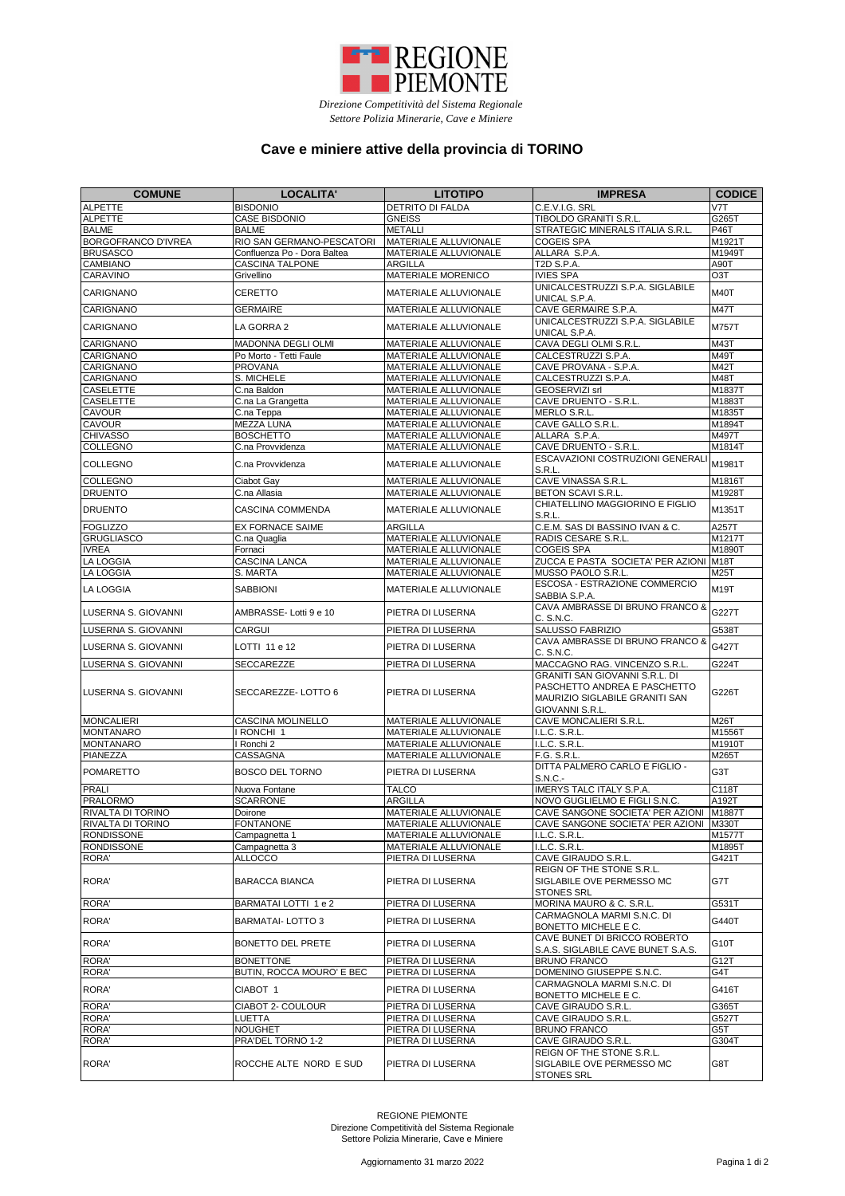| <b>COMUNE</b>                     | <b>LOCALITA'</b>                      | <b>LITOTIPO</b>                                              | <b>IMPRESA</b>                                                                                                             | <b>CODICE</b>    |
|-----------------------------------|---------------------------------------|--------------------------------------------------------------|----------------------------------------------------------------------------------------------------------------------------|------------------|
| <b>ALPETTE</b>                    | <b>BISDONIO</b>                       | <b>DETRITO DI FALDA</b>                                      | C.E.V.I.G. SRL                                                                                                             | V7T              |
| <b>ALPETTE</b>                    | <b>CASE BISDONIO</b>                  | <b>GNEISS</b>                                                | TIBOLDO GRANITI S.R.L.                                                                                                     | G265T            |
| <b>BALME</b>                      | <b>BALME</b>                          | <b>METALLI</b>                                               | STRATEGIC MINERALS ITALIA S.R.L.                                                                                           | <b>P46T</b>      |
| <b>BORGOFRANCO D'IVREA</b>        | RIO SAN GERMANO-PESCATORI             | <b>MATERIALE ALLUVIONALE</b>                                 | <b>COGEIS SPA</b>                                                                                                          | M1921T           |
| <b>BRUSASCO</b>                   | Confluenza Po - Dora Baltea           | <b>MATERIALE ALLUVIONALE</b>                                 | ALLARA S.P.A.                                                                                                              | M1949T           |
| <b>CAMBIANO</b>                   | <b>CASCINA TALPONE</b>                | <b>ARGILLA</b>                                               | T2D S.P.A.                                                                                                                 | A90T             |
| CARAVINO                          | Grivellino                            | <b>MATERIALE MORENICO</b>                                    | <b>IVIES SPA</b>                                                                                                           | O <sub>3</sub> T |
| <b>CARIGNANO</b>                  | <b>CERETTO</b>                        | <b>MATERIALE ALLUVIONALE</b>                                 | UNICALCESTRUZZI S.P.A. SIGLABILE<br>UNICAL S.P.A.                                                                          | <b>M40T</b>      |
| <b>CARIGNANO</b>                  | <b>GERMAIRE</b>                       | <b>MATERIALE ALLUVIONALE</b>                                 | CAVE GERMAIRE S.P.A.                                                                                                       | <b>M47T</b>      |
| <b>CARIGNANO</b>                  | LA GORRA 2                            | <b>MATERIALE ALLUVIONALE</b>                                 | UNICALCESTRUZZI S.P.A. SIGLABILE<br>UNICAL S.P.A.                                                                          | <b>M757T</b>     |
| <b>CARIGNANO</b>                  | <b>MADONNA DEGLI OLMI</b>             | <b>MATERIALE ALLUVIONALE</b>                                 | CAVA DEGLI OLMI S.R.L.                                                                                                     | M43T             |
| <b>CARIGNANO</b>                  | Po Morto - Tetti Faule                | <b>MATERIALE ALLUVIONALE</b>                                 | CALCESTRUZZI S.P.A.                                                                                                        | M49T             |
| <b>CARIGNANO</b>                  | <b>PROVANA</b>                        | MATERIALE ALLUVIONALE                                        | CAVE PROVANA - S.P.A.                                                                                                      | <b>M42T</b>      |
| <b>CARIGNANO</b>                  | S. MICHELE                            | <b>MATERIALE ALLUVIONALE</b>                                 | CALCESTRUZZI S.P.A.                                                                                                        | M48T             |
| <b>CASELETTE</b>                  | C.na Baldon                           | <b>MATERIALE ALLUVIONALE</b>                                 | <b>GEOSERVIZI srl</b>                                                                                                      | M1837T           |
| <b>CASELETTE</b>                  | C.na La Grangetta                     | <b>MATERIALE ALLUVIONALE</b>                                 | CAVE DRUENTO - S.R.L.                                                                                                      | M1883T           |
| <b>CAVOUR</b>                     | C.na Teppa                            | <b>MATERIALE ALLUVIONALE</b>                                 | MERLO S.R.L.                                                                                                               | M1835T           |
| <b>CAVOUR</b><br><b>CHIVASSO</b>  | <b>MEZZA LUNA</b><br><b>BOSCHETTO</b> | <b>MATERIALE ALLUVIONALE</b><br><b>MATERIALE ALLUVIONALE</b> | CAVE GALLO S.R.L.<br>ALLARA S.P.A.                                                                                         | M1894T<br>M497T  |
| <b>COLLEGNO</b>                   | C.na Provvidenza                      | <b>MATERIALE ALLUVIONALE</b>                                 | CAVE DRUENTO - S.R.L.                                                                                                      | M1814T           |
| <b>COLLEGNO</b>                   | C.na Provvidenza                      | <b>MATERIALE ALLUVIONALE</b>                                 | ESCAVAZIONI COSTRUZIONI GENERAL                                                                                            | M1981T           |
| COLLEGNO                          | Ciabot Gay                            | <b>MATERIALE ALLUVIONALE</b>                                 | S.R.L.<br>CAVE VINASSA S.R.L.                                                                                              | M1816T           |
| <b>DRUENTO</b>                    | C.na Allasia                          | <b>MATERIALE ALLUVIONALE</b>                                 | <b>BETON SCAVI S.R.L.</b>                                                                                                  | M1928T           |
| <b>DRUENTO</b>                    | <b>CASCINA COMMENDA</b>               | <b>MATERIALE ALLUVIONALE</b>                                 | CHIATELLINO MAGGIORINO E FIGLIO                                                                                            | M1351T           |
|                                   |                                       |                                                              | S.R.L.                                                                                                                     |                  |
| <b>FOGLIZZO</b>                   | <b>EX FORNACE SAIME</b>               | <b>ARGILLA</b>                                               | C.E.M. SAS DI BASSINO IVAN & C.                                                                                            | A257T            |
| <b>GRUGLIASCO</b><br><b>IVREA</b> | C.na Quaglia<br>Fornaci               | MATERIALE ALLUVIONALE<br>MATERIALE ALLUVIONALE               | RADIS CESARE S.R.L.<br><b>COGEIS SPA</b>                                                                                   | M1217T<br>M1890T |
| <b>LA LOGGIA</b>                  | <b>CASCINA LANCA</b>                  | <b>MATERIALE ALLUVIONALE</b>                                 | ZUCCA E PASTA SOCIETA' PER AZIONI M18T                                                                                     |                  |
| <b>LA LOGGIA</b>                  | S. MARTA                              | <b>MATERIALE ALLUVIONALE</b>                                 | MUSSO PAOLO S.R.L.                                                                                                         | M25T             |
| <b>LA LOGGIA</b>                  | <b>SABBIONI</b>                       | <b>MATERIALE ALLUVIONALE</b>                                 | ESCOSA - ESTRAZIONE COMMERCIO                                                                                              | <b>M19T</b>      |
|                                   |                                       |                                                              | SABBIA S.P.A.<br>CAVA AMBRASSE DI BRUNO FRANCO &                                                                           |                  |
| LUSERNA S. GIOVANNI               | AMBRASSE-Lotti 9 e 10                 | PIETRA DI LUSERNA                                            | C. S.N.C.                                                                                                                  | G227T            |
| LUSERNA S. GIOVANNI               | CARGUI                                | PIETRA DI LUSERNA                                            | <b>SALUSSO FABRIZIO</b>                                                                                                    | G538T            |
| LUSERNA S. GIOVANNI               | LOTTI 11 e 12                         | PIETRA DI LUSERNA                                            | CAVA AMBRASSE DI BRUNO FRANCO &<br>C. S.N.C.                                                                               | G427T            |
| LUSERNA S. GIOVANNI               | <b>SECCAREZZE</b>                     | PIETRA DI LUSERNA                                            | MACCAGNO RAG. VINCENZO S.R.L.                                                                                              | G224T            |
| LUSERNA S. GIOVANNI               | <b>SECCAREZZE-LOTTO 6</b>             | PIETRA DI LUSERNA                                            | <b>GRANITI SAN GIOVANNI S.R.L. DI</b><br>PASCHETTO ANDREA E PASCHETTO<br>MAURIZIO SIGLABILE GRANITI SAN<br>GIOVANNI S.R.L. | G226T            |
| MONCALIERI                        | <b>CASCINA MOLINELLO</b>              | <b>MATERIALE ALLUVIONALE</b>                                 | <b>CAVE MONCALIERI S.R.L.</b>                                                                                              | <b>M26T</b>      |
| <b>MONTANARO</b>                  | RONCHI 1                              | <b>MATERIALE ALLUVIONALE</b>                                 | I.L.C. S.R.L.                                                                                                              | M1556T           |
| <b>MONTANARO</b>                  | I Ronchi 2                            | <b>MATERIALE ALLUVIONALE</b>                                 | I.L.C. S.R.L.                                                                                                              | M1910T           |
| <b>PIANEZZA</b>                   | CASSAGNA                              | <b>MATERIALE ALLUVIONALE</b>                                 | F.G. S.R.L.                                                                                                                | M265T            |
| <b>POMARETTO</b>                  | <b>BOSCO DEL TORNO</b>                | PIETRA DI LUSERNA                                            | DITTA PALMERO CARLO E FIGLIO -<br>S.N.C.-                                                                                  | G3T              |
| PRALI                             | Nuova Fontane                         | <b>TALCO</b>                                                 | <b>IMERYS TALC ITALY S.P.A.</b>                                                                                            | C118T            |
| <b>PRALORMO</b>                   | <b>SCARRONE</b>                       | <b>ARGILLA</b>                                               | NOVO GUGLIELMO E FIGLI S.N.C.                                                                                              | A192T            |
| <b>RIVALTA DI TORINO</b>          | Doirone                               | <b>MATERIALE ALLUVIONALE</b>                                 | CAVE SANGONE SOCIETA' PER AZIONI                                                                                           | M1887T           |
| <b>RIVALTA DI TORINO</b>          | <b>FONTANONE</b>                      | <b>MATERIALE ALLUVIONALE</b>                                 | CAVE SANGONE SOCIETA' PER AZIONI                                                                                           | <b>M330T</b>     |
| <b>RONDISSONE</b>                 | Campagnetta 1                         | <b>MATERIALE ALLUVIONALE</b>                                 | I.L.C. S.R.L.                                                                                                              | M1577T           |
| <b>RONDISSONE</b>                 | Campagnetta 3                         | <b>MATERIALE ALLUVIONALE</b>                                 | I.L.C. S.R.L.                                                                                                              | M1895T           |
| <b>RORA'</b>                      | <b>ALLOCCO</b>                        | PIETRA DI LUSERNA                                            | CAVE GIRAUDO S.R.L.                                                                                                        | G421T            |
| <b>RORA'</b>                      | <b>BARACCA BIANCA</b>                 | PIETRA DI LUSERNA                                            | REIGN OF THE STONE S.R.L.<br>SIGLABILE OVE PERMESSO MC<br><b>STONES SRL</b>                                                | G7T              |
| <b>RORA'</b>                      | <b>BARMATAI LOTTI 1 e 2</b>           | PIETRA DI LUSERNA                                            | MORINA MAURO & C. S.R.L.                                                                                                   | G531T            |
| <b>RORA'</b>                      | <b>BARMATAI-LOTTO 3</b>               | <b>PIETRA DI LUSERNA</b>                                     | CARMAGNOLA MARMI S.N.C. DI<br>BONETTO MICHELE E C.                                                                         | G440T            |
| <b>RORA'</b>                      | <b>BONETTO DEL PRETE</b>              | PIETRA DI LUSERNA                                            | CAVE BUNET DI BRICCO ROBERTO<br>S.A.S. SIGLABILE CAVE BUNET S.A.S.                                                         | G10T             |
| <b>RORA'</b>                      | <b>BONETTONE</b>                      | <b>PIETRA DI LUSERNA</b>                                     | <b>BRUNO FRANCO</b>                                                                                                        | G12T             |
| RORA'                             | <b>BUTIN, ROCCA MOURO' E BEC</b>      | <b>PIETRA DI LUSERNA</b>                                     | DOMENINO GIUSEPPE S.N.C.                                                                                                   | G4T              |
| RORA'                             | CIABOT 1                              | PIETRA DI LUSERNA                                            | CARMAGNOLA MARMI S.N.C. DI                                                                                                 | G416T            |
| RORA'                             | <b>CIABOT 2- COULOUR</b>              | PIETRA DI LUSERNA                                            | <b>BONETTO MICHELE E C.</b><br><b>CAVE GIRAUDO S.R.L.</b>                                                                  | G365T            |
| RORA'                             | <b>LUETTA</b>                         | PIETRA DI LUSERNA                                            | <b>CAVE GIRAUDO S.R.L.</b>                                                                                                 | G527T            |
| RORA'                             | <b>NOUGHET</b>                        | PIETRA DI LUSERNA                                            | <b>BRUNO FRANCO</b>                                                                                                        | G5T              |
| RORA'                             | PRA'DEL TORNO 1-2                     | PIETRA DI LUSERNA                                            | <b>CAVE GIRAUDO S.R.L.</b>                                                                                                 | G304T            |
|                                   |                                       |                                                              | REIGN OF THE STONE S.R.L.                                                                                                  |                  |
| RORA'                             | ROCCHE ALTE NORD E SUD                | PIETRA DI LUSERNA                                            | <b>SIGLABILE OVE PERMESSO MC</b><br><b>STONES SRL</b>                                                                      | G8T              |



*Direzione Competitività del Sistema Regionale Settore Polizia Minerarie, Cave e Miniere*

## **Cave e miniere attive della provincia di TORINO**

REGIONE PIEMONTE Direzione Competitività del Sistema Regionale Settore Polizia Minerarie, Cave e Miniere